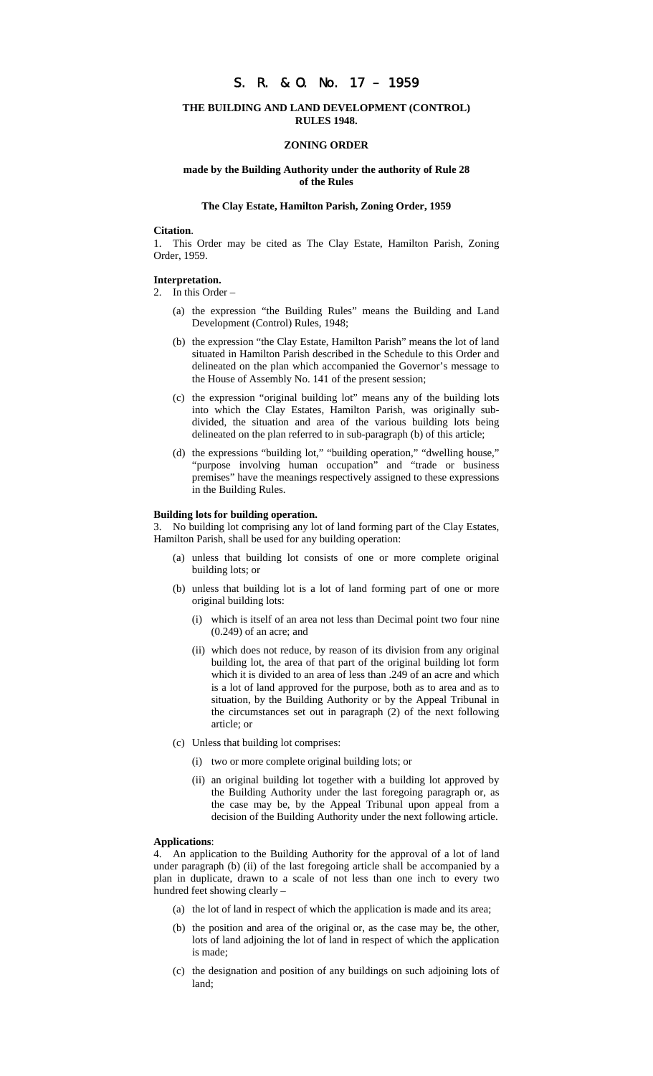# S. R. & O. No. 17 – 1959

## **THE BUILDING AND LAND DEVELOPMENT (CONTROL) RULES 1948.**

#### **ZONING ORDER**

## **made by the Building Authority under the authority of Rule 28 of the Rules**

#### **The Clay Estate, Hamilton Parish, Zoning Order, 1959**

#### **Citation**.

1. This Order may be cited as The Clay Estate, Hamilton Parish, Zoning Order, 1959.

### **Interpretation.**

- 2. In this Order
	- (a) the expression "the Building Rules" means the Building and Land Development (Control) Rules, 1948;
	- (b) the expression "the Clay Estate, Hamilton Parish" means the lot of land situated in Hamilton Parish described in the Schedule to this Order and delineated on the plan which accompanied the Governor's message to the House of Assembly No. 141 of the present session;
	- (c) the expression "original building lot" means any of the building lots into which the Clay Estates, Hamilton Parish, was originally subdivided, the situation and area of the various building lots being delineated on the plan referred to in sub-paragraph (b) of this article;
	- (d) the expressions "building lot," "building operation," "dwelling house," "purpose involving human occupation" and "trade or business premises" have the meanings respectively assigned to these expressions in the Building Rules.

#### **Building lots for building operation.**

3. No building lot comprising any lot of land forming part of the Clay Estates, Hamilton Parish, shall be used for any building operation:

- (a) unless that building lot consists of one or more complete original building lots; or
- (b) unless that building lot is a lot of land forming part of one or more original building lots:
	- (i) which is itself of an area not less than Decimal point two four nine (0.249) of an acre; and
	- (ii) which does not reduce, by reason of its division from any original building lot, the area of that part of the original building lot form which it is divided to an area of less than .249 of an acre and which is a lot of land approved for the purpose, both as to area and as to situation, by the Building Authority or by the Appeal Tribunal in the circumstances set out in paragraph (2) of the next following article; or
- (c) Unless that building lot comprises:
	- (i) two or more complete original building lots; or
	- (ii) an original building lot together with a building lot approved by the Building Authority under the last foregoing paragraph or, as the case may be, by the Appeal Tribunal upon appeal from a decision of the Building Authority under the next following article.

## **Applications**:

4. An application to the Building Authority for the approval of a lot of land under paragraph (b) (ii) of the last foregoing article shall be accompanied by a plan in duplicate, drawn to a scale of not less than one inch to every two hundred feet showing clearly –

- (a) the lot of land in respect of which the application is made and its area;
- (b) the position and area of the original or, as the case may be, the other, lots of land adjoining the lot of land in respect of which the application is made;
- (c) the designation and position of any buildings on such adjoining lots of land;